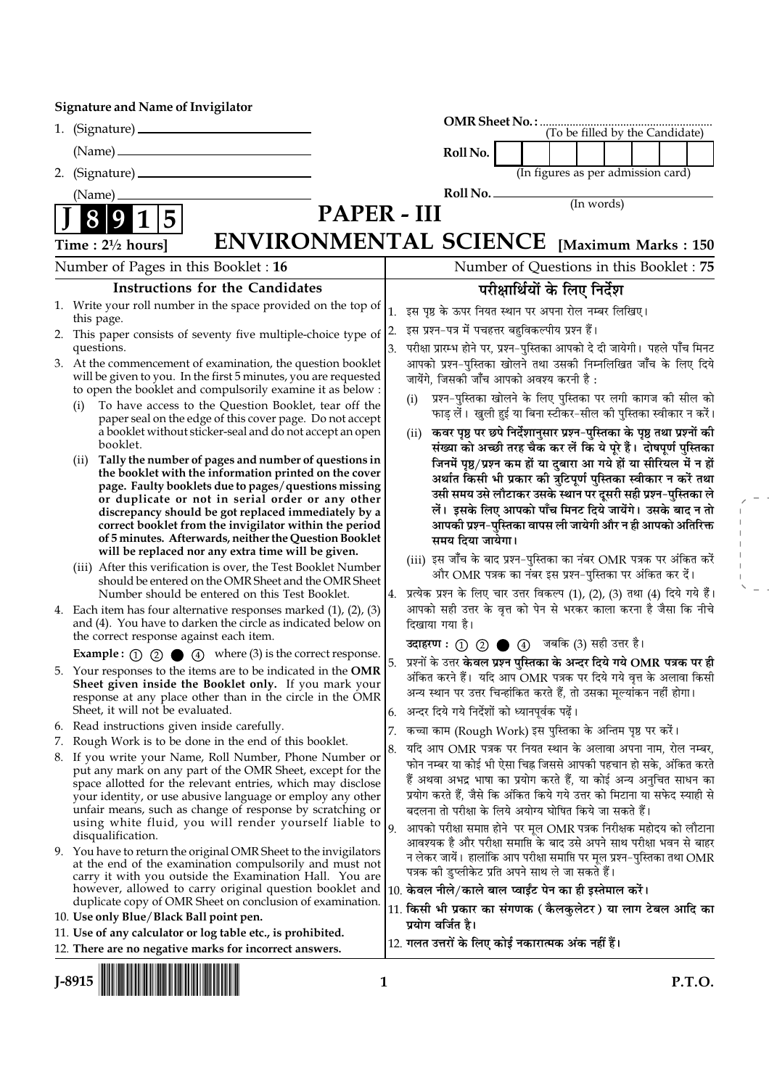|    |                                                                                                                            |    |                                                                                                                                                     |  | (To be filled by the Candidate)         |  |  |
|----|----------------------------------------------------------------------------------------------------------------------------|----|-----------------------------------------------------------------------------------------------------------------------------------------------------|--|-----------------------------------------|--|--|
|    |                                                                                                                            |    | Roll No.                                                                                                                                            |  |                                         |  |  |
| 2. |                                                                                                                            |    |                                                                                                                                                     |  | (In figures as per admission card)      |  |  |
|    | (Name)                                                                                                                     |    | Roll No.                                                                                                                                            |  |                                         |  |  |
|    | PAPER - III                                                                                                                |    |                                                                                                                                                     |  | $($ In words $)$                        |  |  |
|    |                                                                                                                            |    |                                                                                                                                                     |  |                                         |  |  |
|    | <b>ENVIRONMENTAL SCIENCE</b> [Maximum Marks : 150<br>Time: $2\frac{1}{2}$ hours]                                           |    |                                                                                                                                                     |  |                                         |  |  |
|    | Number of Pages in this Booklet: 16                                                                                        |    |                                                                                                                                                     |  | Number of Questions in this Booklet: 75 |  |  |
|    | <b>Instructions for the Candidates</b>                                                                                     |    |                                                                                                                                                     |  | परीक्षार्थियों के लिए निर्देश           |  |  |
|    | 1. Write your roll number in the space provided on the top of<br>this page.                                                |    | 1. इस पृष्ठ के ऊपर नियत स्थान पर अपना रोल नम्बर लिखिए।                                                                                              |  |                                         |  |  |
|    | 2. This paper consists of seventy five multiple-choice type of $ 2$ .<br>questions.                                        | 3. | इस प्रश्न-पत्र में पचहत्तर बहुविकल्पीय प्रश्न हैं।<br>परीक्षा प्रारम्भ होने पर, प्रश्न-पुस्तिका आपको दे दी जायेगी। पहले पाँच मिनट                   |  |                                         |  |  |
|    | 3. At the commencement of examination, the question booklet                                                                |    | आपको प्रश्न-पुस्तिका खोलने तथा उसकी निम्नलिखित जाँच के लिए दिये                                                                                     |  |                                         |  |  |
|    | will be given to you. In the first 5 minutes, you are requested                                                            |    | जायेंगे, जिसकी जाँच आपको अवश्य करनी है:                                                                                                             |  |                                         |  |  |
|    | to open the booklet and compulsorily examine it as below :<br>To have access to the Question Booklet, tear off the<br>(i)  |    | प्रश्न-पुस्तिका खोलने के लिए पुस्तिका पर लगी कागज की सील को<br>(i)                                                                                  |  |                                         |  |  |
|    | paper seal on the edge of this cover page. Do not accept                                                                   |    | फाड़ लें।  खुली हुई या बिना स्टीकर-सील की पुस्तिका स्वीकार न करें।                                                                                  |  |                                         |  |  |
|    | a booklet without sticker-seal and do not accept an open<br>booklet.                                                       |    | कवर पृष्ठ पर छपे निर्देशानुसार प्रश्न-पुस्तिका के पृष्ठ तथा प्रश्नों की<br>(ii)<br>संख्या को अच्छी तरह चैक कर लें कि ये पूरे हैं। दोषपूर्ण पुस्तिका |  |                                         |  |  |
|    | Tally the number of pages and number of questions in<br>(ii)                                                               |    | जिनमें पृष्ठ/प्रश्न कम हों या दुबारा आ गये हों या सीरियल में न हों                                                                                  |  |                                         |  |  |
|    | the booklet with the information printed on the cover<br>page. Faulty booklets due to pages/questions missing              |    | अर्थात किसी भी प्रकार की त्रुटिपूर्ण पुस्तिका स्वीकार न करें तथा                                                                                    |  |                                         |  |  |
|    | or duplicate or not in serial order or any other                                                                           |    | उसी समय उसे लौटाकर उसके स्थान पर दूसरी सही प्रश्न-पुस्तिका ले<br>लें। इसके लिए आपको पाँच मिनट दिये जायेंगे। उसके बाद न तो                           |  |                                         |  |  |
|    | discrepancy should be got replaced immediately by a<br>correct booklet from the invigilator within the period              |    | आपकी प्रश्न-पुस्तिका वापस ली जायेगी और न ही आपको अतिरिक्त                                                                                           |  |                                         |  |  |
|    | of 5 minutes. Afterwards, neither the Question Booklet                                                                     |    | समय दिया जायेगा।                                                                                                                                    |  |                                         |  |  |
|    | will be replaced nor any extra time will be given.<br>(iii) After this verification is over, the Test Booklet Number       |    | (iii) इस जाँच के बाद प्रश्न-पुस्तिका का नंबर OMR पत्रक पर अंकित करें                                                                                |  |                                         |  |  |
|    | should be entered on the OMR Sheet and the OMR Sheet                                                                       |    | और OMR पत्रक का नंबर इस प्रश्न-पुस्तिका पर अंकित कर दें।                                                                                            |  |                                         |  |  |
|    | Number should be entered on this Test Booklet.<br>4. Each item has four alternative responses marked $(1)$ , $(2)$ , $(3)$ | 4. | प्रत्येक प्रश्न के लिए चार उत्तर विकल्प (1), (2), (3) तथा (4) दिये गये हैं।<br>आपको सही उत्तर के वृत्त को पेन से भरकर काला करना है जैसा कि नीचे     |  |                                         |  |  |
|    | and (4). You have to darken the circle as indicated below on                                                               |    | दिखाया गया है।                                                                                                                                      |  |                                         |  |  |
|    | the correct response against each item.<br><b>Example :</b> (1) (2) $\bullet$ (4) where (3) is the correct response.       |    | उदाहरण: 1 2 ● 4 जबकि (3) सही उत्तर है।                                                                                                              |  |                                         |  |  |
|    | 5. Your responses to the items are to be indicated in the OMR                                                              | 5. | प्रश्नों के उत्तर <mark>केवल प्रश्न पुस्तिका के अन्दर दिये गये OMR पत्रक पर ही</mark>                                                               |  |                                         |  |  |
|    | Sheet given inside the Booklet only. If you mark your                                                                      |    | अंकित करने हैं।  यदि आप OMR पत्रक पर दिये गये वृत्त के अलावा किसी<br>अन्य स्थान पर उत्तर चिन्हांकित करते हैं, तो उसका मूल्यांकन नहीं होगा।          |  |                                         |  |  |
|    | response at any place other than in the circle in the OMR<br>Sheet, it will not be evaluated.                              |    | 6. अन्दर दिये गये निर्देशों को ध्यानपूर्वक पढ़ें।                                                                                                   |  |                                         |  |  |
|    | 6. Read instructions given inside carefully.                                                                               |    | कच्चा काम (Rough Work) इस पुस्तिका के अन्तिम पृष्ठ पर करें।                                                                                         |  |                                         |  |  |
|    | 7. Rough Work is to be done in the end of this booklet.<br>8. If you write your Name, Roll Number, Phone Number or         | 8. | यदि आप OMR पत्रक पर नियत स्थान के अलावा अपना नाम, रोल नम्बर,                                                                                        |  |                                         |  |  |
|    | put any mark on any part of the OMR Sheet, except for the                                                                  |    | फोन नम्बर या कोई भी ऐसा चिह्न जिससे आपकी पहचान हो सके, अंकित करते                                                                                   |  |                                         |  |  |
|    | space allotted for the relevant entries, which may disclose<br>your identity, or use abusive language or employ any other  |    | हैं अथवा अभद्र भाषा का प्रयोग करते हैं, या कोई अन्य अनुचित साधन का<br>प्रयोग करते हैं, जैसे कि अंकित किये गये उत्तर को मिटाना या सफेद स्याही से     |  |                                         |  |  |
|    | unfair means, such as change of response by scratching or                                                                  |    | बदलना तो परीक्षा के लिये अयोग्य घोषित किये जा सकते हैं।                                                                                             |  |                                         |  |  |
|    | using white fluid, you will render yourself liable to<br>disqualification.                                                 | 9. | आपको परीक्षा समाप्त होने  पर मूल OMR पत्रक निरीक्षक महोदय को लौटाना                                                                                 |  |                                         |  |  |
|    | 9. You have to return the original OMR Sheet to the invigilators                                                           |    | आवश्यक है और परीक्षा समाप्ति के बाद उसे अपने साथ परीक्षा भवन से बाहर<br>न लेकर जायें। हालांकि आप परीक्षा समाप्ति पर मूल प्रश्न-पुस्तिका तथा OMR     |  |                                         |  |  |
|    | at the end of the examination compulsorily and must not<br>carry it with you outside the Examination Hall. You are         |    | पत्रक की डुप्लीकेट प्रति अपने साथ ले जा सकते हैं।                                                                                                   |  |                                         |  |  |
|    | however, allowed to carry original question booklet and                                                                    |    | 10. केवल नीले/काले बाल प्वाईंट पेन का ही इस्तेमाल करें।                                                                                             |  |                                         |  |  |
|    | duplicate copy of OMR Sheet on conclusion of examination.<br>10. Use only Blue/Black Ball point pen.                       |    | 11. किसी भी प्रकार का संगणक ( कैलकुलेटर ) या लाग टेबल आदि का                                                                                        |  |                                         |  |  |
|    | 11. Use of any calculator or log table etc., is prohibited.                                                                |    | प्रयोग वर्जित है।                                                                                                                                   |  |                                         |  |  |
|    | 12. There are no negative marks for incorrect answers.                                                                     |    | 12. गलत उत्तरों के लिए कोई नकारात्मक अंक नहीं हैं।                                                                                                  |  |                                         |  |  |

|--|--|

 $\bar{\Gamma}$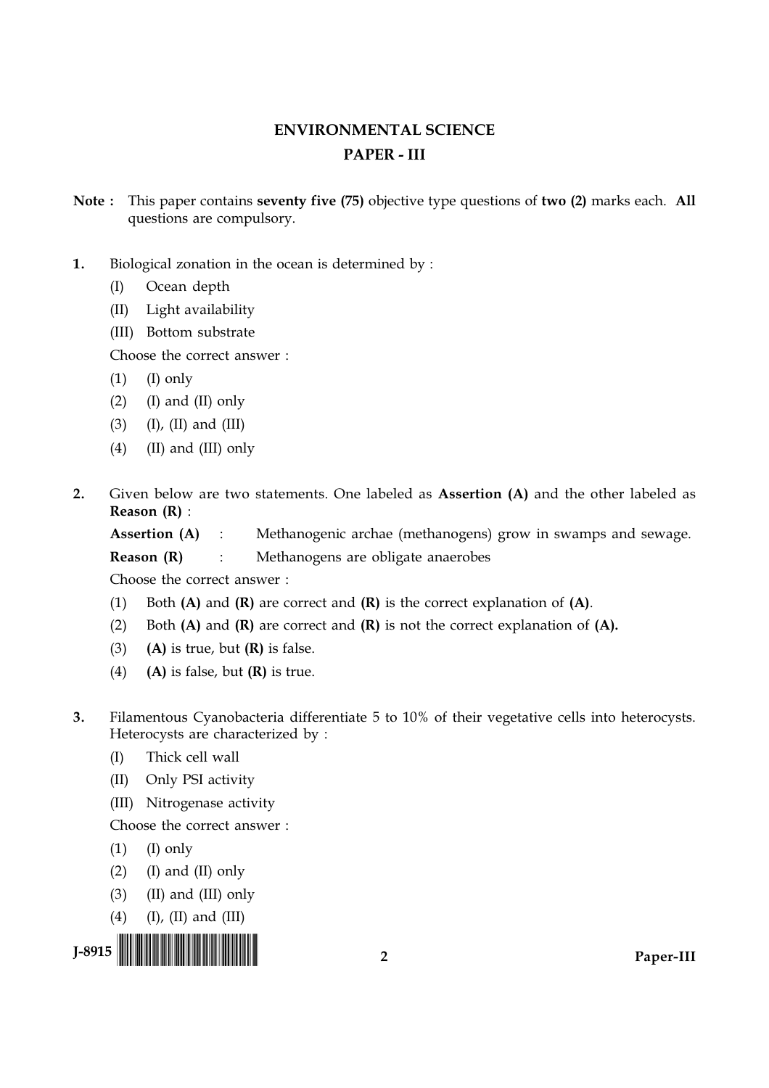# **ENVIRONMENTAL SCIENCE PAPER - III**

- Note: This paper contains seventy five (75) objective type questions of two (2) marks each. All questions are compulsory.
- $\mathbf{1}$ . Biological zonation in the ocean is determined by:
	- Ocean depth  $(I)$
	- (II) Light availability
	- (III) Bottom substrate

Choose the correct answer:

- $(1)$  $(I)$  only
- $(2)$ (I) and (II) only
- $(3)$  $(I)$ ,  $(II)$  and  $(III)$
- $(4)$ (II) and (III) only
- $2<sub>1</sub>$ Given below are two statements. One labeled as Assertion (A) and the other labeled as Reason  $(R)$  :
	- Assertion (A) Methanogenic archae (methanogens) grow in swamps and sewage.  $\mathbb{R}^{\mathbb{Z}}$

Reason (R)  $\ddot{\cdot}$ Methanogens are obligate anaerobes

Choose the correct answer:

- Both  $(A)$  and  $(R)$  are correct and  $(R)$  is the correct explanation of  $(A)$ .  $(1)$
- Both  $(A)$  and  $(R)$  are correct and  $(R)$  is not the correct explanation of  $(A)$ .  $(2)$
- $(A)$  is true, but  $(R)$  is false.  $(3)$
- $(4)$  $(A)$  is false, but  $(R)$  is true.
- $3.$ Filamentous Cyanobacteria differentiate 5 to 10% of their vegetative cells into heterocysts. Heterocysts are characterized by :
	- Thick cell wall  $(I)$
	- $(II)$ Only PSI activity
	- (III) Nitrogenase activity

Choose the correct answer:

- $(I)$  only  $(1)$
- $(I)$  and  $(II)$  only  $(2)$
- $(3)$ (II) and (III) only
- $(4)$  (I), (II) and (III)

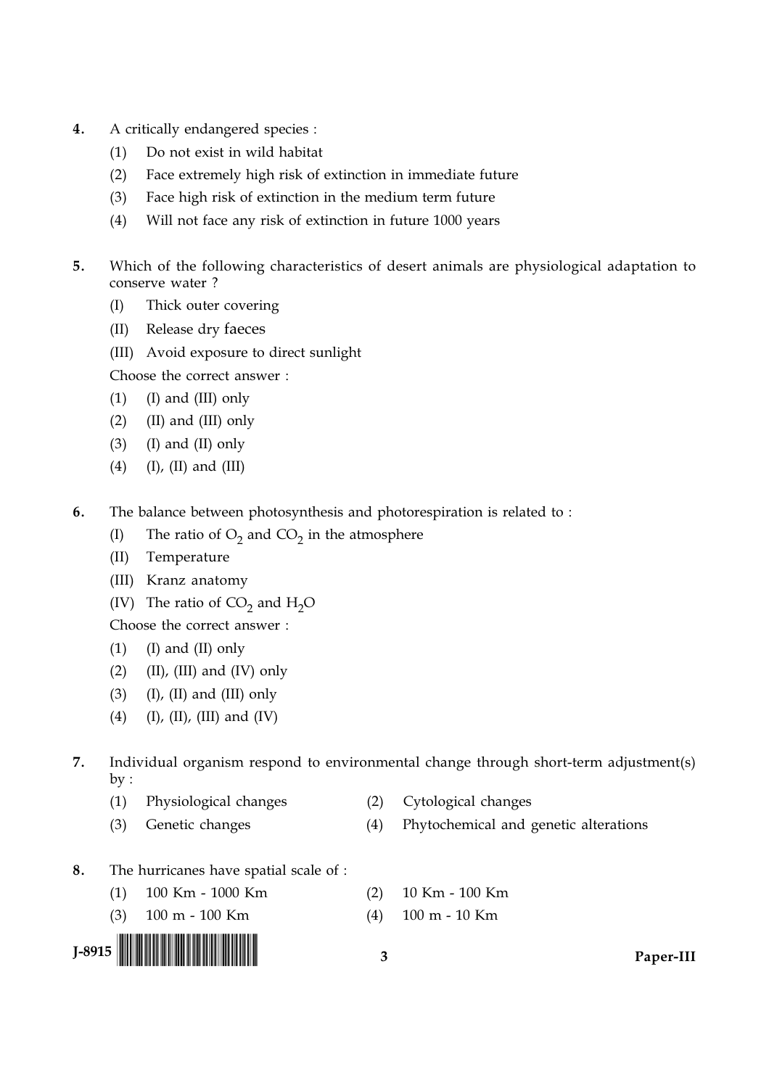- $\overline{4}$ . A critically endangered species :
	- Do not exist in wild habitat  $(1)$
	- $(2)$ Face extremely high risk of extinction in immediate future
	- $(3)$ Face high risk of extinction in the medium term future
	- $(4)$ Will not face any risk of extinction in future 1000 years
- $5<sub>1</sub>$ Which of the following characteristics of desert animals are physiological adaptation to conserve water?
	- $(I)$ Thick outer covering
	- Release dry faeces  $(II)$
	- (III) Avoid exposure to direct sunlight

Choose the correct answer:

- (I) and (III) only  $(1)$
- $(2)$ (II) and (III) only
- $(3)$  $(I)$  and  $(II)$  only
- $(4)$  $(I)$ ,  $(II)$  and  $(III)$
- 6. The balance between photosynthesis and photorespiration is related to:
	- The ratio of  $O_2$  and  $CO_2$  in the atmosphere  $(I)$
	- $(II)$ Temperature
	- (III) Kranz anatomy
	- (IV) The ratio of  $CO<sub>2</sub>$  and  $H<sub>2</sub>O$

Choose the correct answer:

- $(1)$  $(I)$  and  $(II)$  only
- $(2)$  $(II)$ ,  $(III)$  and  $(IV)$  only
- $(3)$  $(I)$ ,  $(II)$  and  $(III)$  only
- $(4)$  $(I)$ ,  $(II)$ ,  $(III)$  and  $(IV)$
- $\overline{7}$ . Individual organism respond to environmental change through short-term adjustment(s)  $by:$

 $\overline{\mathbf{3}}$ 

- $(1)$ Physiological changes
- $(2)$ Cytological changes
- $(4)$ Phytochemical and genetic alterations
- The hurricanes have spatial scale of : 8.

Genetic changes

- 100 Km 1000 Km  $(2)$  $(1)$
- 100 m 100 Km  $(3)$  $(4)$



 $(3)$ 

- 10 Km 100 Km
- 100 m 10 Km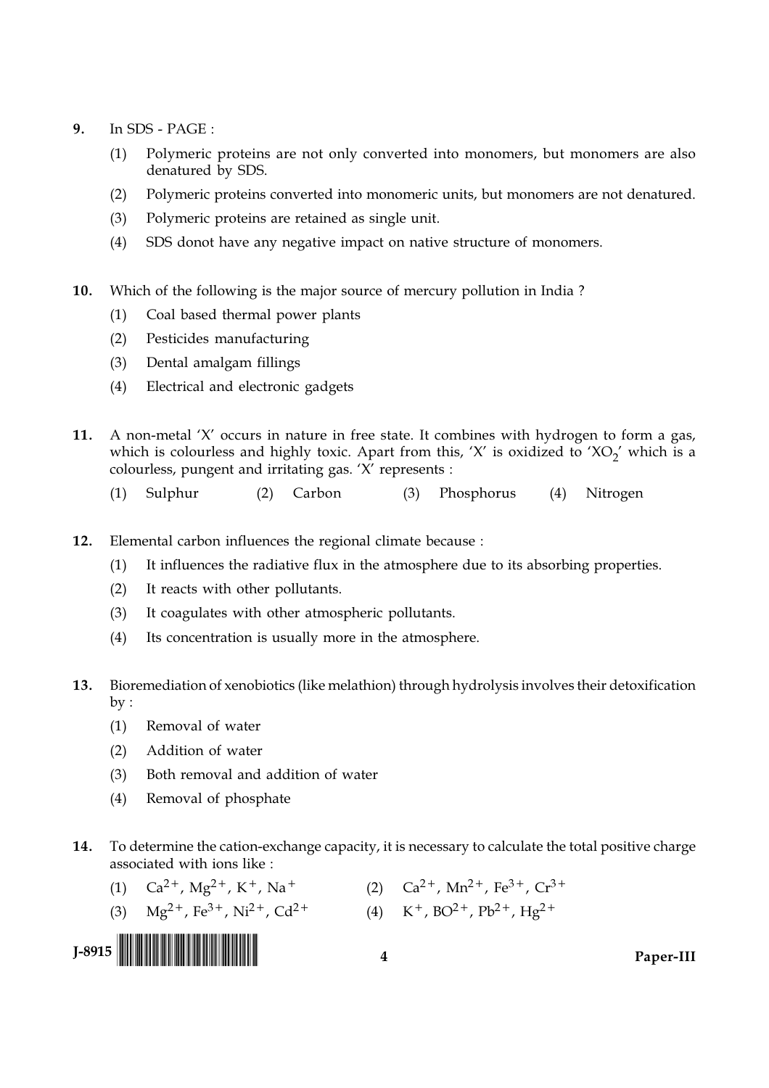- $9<sub>1</sub>$ In SDS - PAGE:
	- Polymeric proteins are not only converted into monomers, but monomers are also  $(1)$ denatured by SDS.
	- Polymeric proteins converted into monomeric units, but monomers are not denatured.  $(2)$
	- $(3)$ Polymeric proteins are retained as single unit.
	- $(4)$ SDS donot have any negative impact on native structure of monomers.
- $10.$ Which of the following is the major source of mercury pollution in India?
	- Coal based thermal power plants  $(1)$
	- Pesticides manufacturing  $(2)$
	- Dental amalgam fillings  $(3)$
	- $(4)$ Electrical and electronic gadgets
- $11<sub>1</sub>$ A non-metal 'X' occurs in nature in free state. It combines with hydrogen to form a gas, which is colourless and highly toxic. Apart from this, 'X' is oxidized to 'XO<sub>2</sub>' which is a colourless, pungent and irritating gas. 'X' represents :
	- Carbon  $(1)$ Sulphur  $(2)$  $(3)$ Phosphorus (4) Nitrogen
- $12.$ Elemental carbon influences the regional climate because :
	- It influences the radiative flux in the atmosphere due to its absorbing properties.  $(1)$
	- $(2)$ It reacts with other pollutants.
	- $(3)$ It coagulates with other atmospheric pollutants.
	- $(4)$ Its concentration is usually more in the atmosphere.
- Bioremediation of xenobiotics (like melathion) through hydrolysis involves their detoxification 13.  $by:$ 
	- $(1)$ Removal of water
	- $(2)$ Addition of water
	- Both removal and addition of water  $(3)$
	- Removal of phosphate  $(4)$
- 14. To determine the cation-exchange capacity, it is necessary to calculate the total positive charge associated with ions like :
	- (2)  $Ca^{2+}$ , Mn<sup>2+</sup>, Fe<sup>3+</sup>, Cr<sup>3+</sup> (1)  $Ca^{2+}$ , Mg<sup>2+</sup>, K<sup>+</sup>, Na<sup>+</sup>
	- (3)  $Mg^{2+}$ , Fe<sup>3+</sup>, Ni<sup>2+</sup>, Cd<sup>2+</sup> (4) K<sup>+</sup>, BO<sup>2+</sup>, Pb<sup>2+</sup>, Hg<sup>2+</sup>

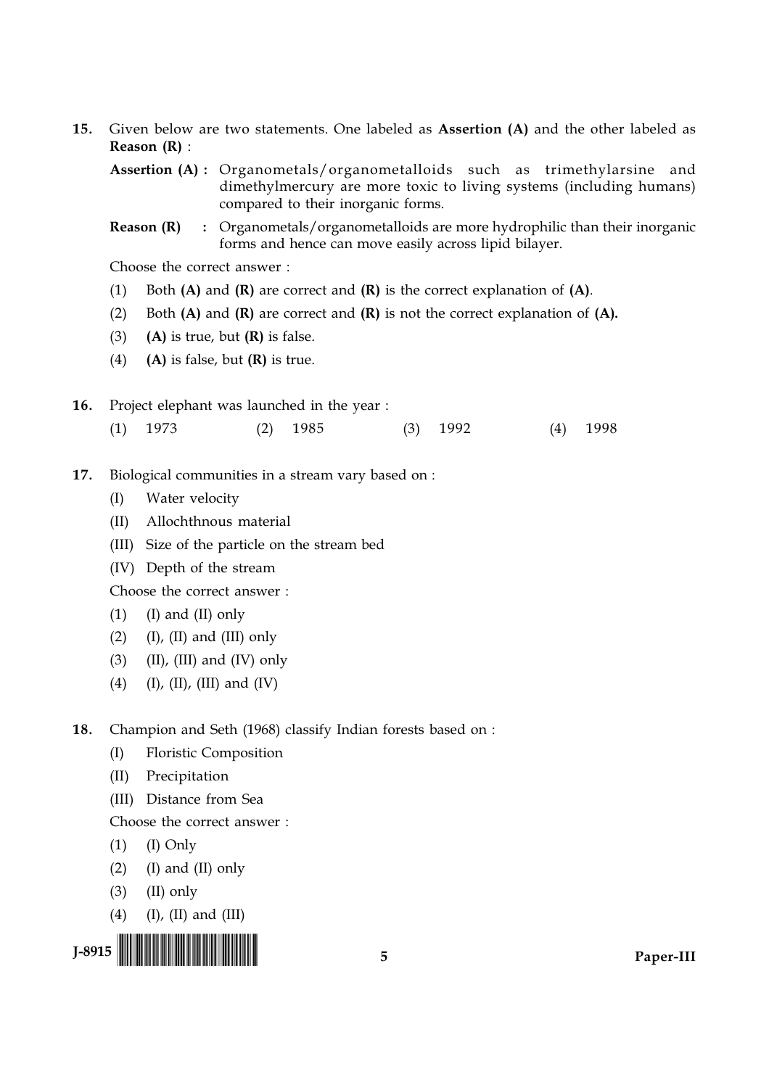$15.$ Given below are two statements. One labeled as Assertion (A) and the other labeled as Reason  $(R)$  :

Assertion (A): Organometals/organometalloids such as trimethylarsine and dimethylmercury are more toxic to living systems (including humans) compared to their inorganic forms.

Reason (R) : Organometals/organometalloids are more hydrophilic than their inorganic forms and hence can move easily across lipid bilayer.

Choose the correct answer:

- $(1)$ Both  $(A)$  and  $(R)$  are correct and  $(R)$  is the correct explanation of  $(A)$ .
- $(2)$ Both  $(A)$  and  $(R)$  are correct and  $(R)$  is not the correct explanation of  $(A)$ .
- $(3)$  $(A)$  is true, but  $(R)$  is false.
- $(A)$  is false, but  $(R)$  is true.  $(4)$

16. Project elephant was launched in the year :

- $(2)$  1985  $(1)$ 1973  $(3)$  1992  $(4)$  1998
- 17. Biological communities in a stream vary based on :
	- $(I)$ Water velocity
	- (II) Allochthnous material
	- (III) Size of the particle on the stream bed
	- (IV) Depth of the stream

Choose the correct answer:

- $(1)$  $(I)$  and  $(II)$  only
- $(2)$  $(I)$ ,  $(II)$  and  $(III)$  only
- $(3)$  $(II)$ ,  $(III)$  and  $(IV)$  only
- $(4)$ (I), (II), (III) and (IV)

18. Champion and Seth (1968) classify Indian forests based on :

- $(I)$ **Floristic Composition**
- $(II)$ Precipitation
- (III) Distance from Sea

Choose the correct answer:

- $(1)$  $(I)$  Only
- $(2)$  $(I)$  and  $(II)$  only
- $(3)$  $(II)$  only
- $(4)$  $(I)$ ,  $(II)$  and  $(III)$

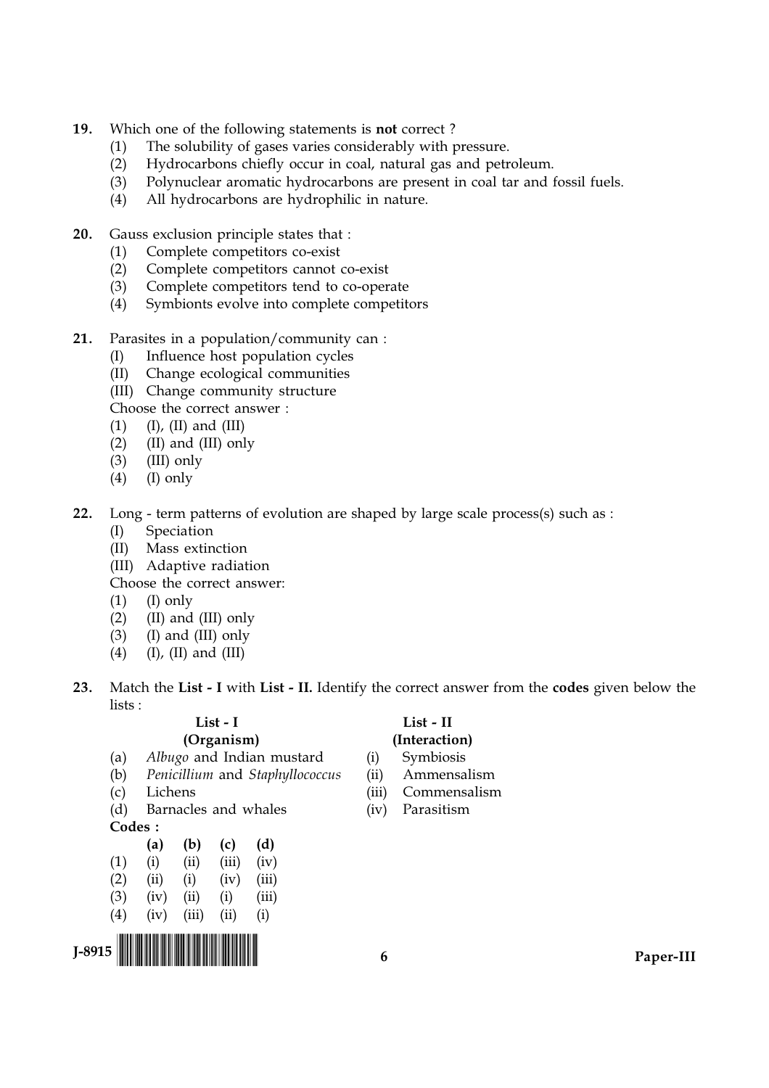- $19.$ Which one of the following statements is **not** correct?
	- The solubility of gases varies considerably with pressure.  $(1)$
	- Hydrocarbons chiefly occur in coal, natural gas and petroleum.  $(2)$
	- Polynuclear aromatic hydrocarbons are present in coal tar and fossil fuels.  $(3)$
	- All hydrocarbons are hydrophilic in nature.  $(4)$
- $20.$ Gauss exclusion principle states that :
	- Complete competitors co-exist  $(1)$
	- $(2)$ Complete competitors cannot co-exist
	- Complete competitors tend to co-operate  $(3)$
	- $(4)$ Symbionts evolve into complete competitors
- $21.$ Parasites in a population/community can :
	- Influence host population cycles  $(I)$
	- Change ecological communities  $(II)$
	- (III) Change community structure

Choose the correct answer:

- $(1)$  $(I)$ ,  $(II)$  and  $(III)$
- $(2)$ (II) and (III) only
- $(3)$ (III) only
- $(4)$  $(I)$  only
- 22. Long - term patterns of evolution are shaped by large scale process(s) such as :
	- Speciation  $(I)$
	- Mass extinction  $(II)$
	- (III) Adaptive radiation

Choose the correct answer:

- $(1)$  $(I)$  only
- (II) and (III) only  $(2)$
- $(3)$  (I) and (III) only
- $(4)$  $(I)$ ,  $(II)$  and  $(III)$
- $23.$ Match the List - I with List - II. Identify the correct answer from the codes given below the  $lists.$

 $(i)$ 

#### $List - I$ (Organism) Albugo and Indian mustard

- Penicillium and Staphyllococcus  $(b)$
- Lichens  $(c)$

 $(a)$ 

(d) Barnacles and whales Codes:

|     | (a)  | (b)   | (c)   | (d)   |
|-----|------|-------|-------|-------|
| (1) | (i)  | (ii)  | (iii) | (iv)  |
| (2) | (ii) | (i)   | (iv)  | (iii) |
| (3) | (iv) | (ii)  | (i)   | (iii) |
| (4) | (iv) | (iii) | (ii)  | (i)   |
|     |      |       |       |       |



List - II

- (ii) Ammensalism (iii) Commensalism
- (iv) Parasitism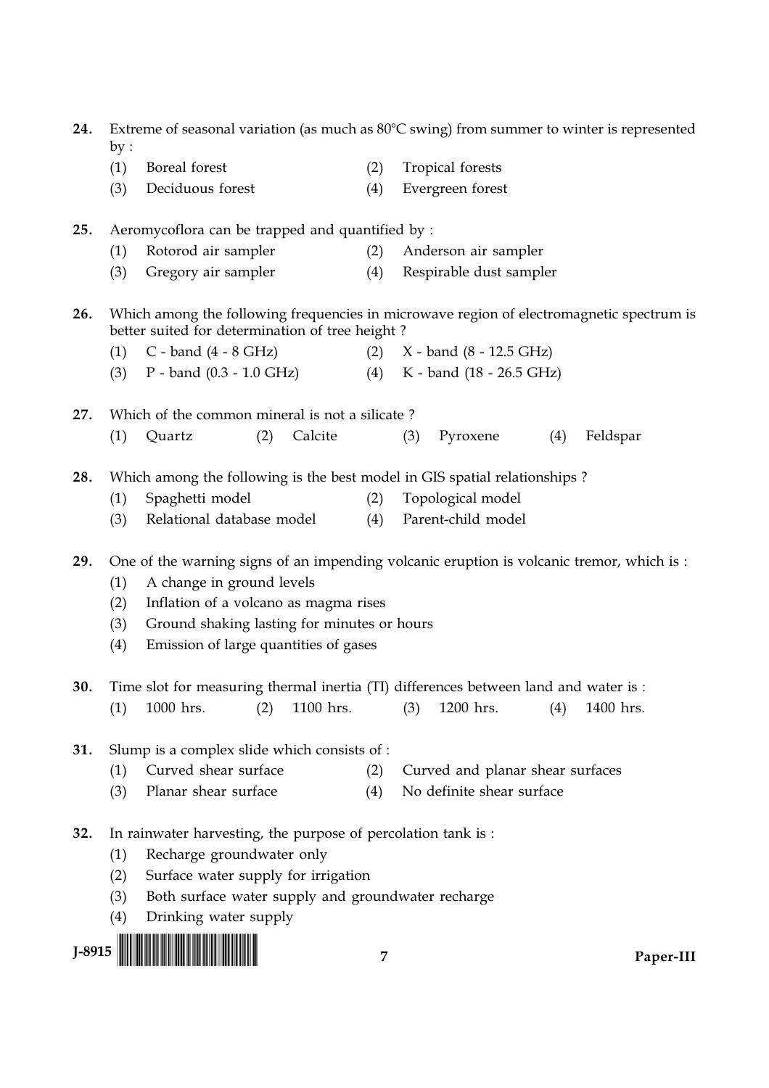| 24.      | Extreme of seasonal variation (as much as $80^{\circ}$ C swing) from summer to winter is represented |                                                                                           |            |                                  |                                                       |     |           |  |  |
|----------|------------------------------------------------------------------------------------------------------|-------------------------------------------------------------------------------------------|------------|----------------------------------|-------------------------------------------------------|-----|-----------|--|--|
|          | by:<br>(1)                                                                                           | Boreal forest                                                                             | (2)        |                                  | Tropical forests                                      |     |           |  |  |
|          | (3)                                                                                                  | Deciduous forest                                                                          | (4)        |                                  | Evergreen forest                                      |     |           |  |  |
|          |                                                                                                      |                                                                                           |            |                                  |                                                       |     |           |  |  |
| 25.      |                                                                                                      | Aeromycoflora can be trapped and quantified by :                                          |            |                                  |                                                       |     |           |  |  |
|          | (1)                                                                                                  | Rotorod air sampler                                                                       | (2)        |                                  | Anderson air sampler                                  |     |           |  |  |
|          | (3)                                                                                                  | Gregory air sampler                                                                       | (4)        |                                  | Respirable dust sampler                               |     |           |  |  |
| 26.      | Which among the following frequencies in microwave region of electromagnetic spectrum is             |                                                                                           |            |                                  |                                                       |     |           |  |  |
|          |                                                                                                      | better suited for determination of tree height?                                           |            |                                  |                                                       |     |           |  |  |
|          | (1)<br>(3)                                                                                           | $C$ - band $(4 - 8 \text{ GHz})$<br>$P$ - band $(0.3 - 1.0$ GHz)                          | (2)<br>(4) |                                  | $X -$ band (8 - 12.5 GHz)<br>K - band (18 - 26.5 GHz) |     |           |  |  |
|          |                                                                                                      |                                                                                           |            |                                  |                                                       |     |           |  |  |
| 27.      |                                                                                                      | Which of the common mineral is not a silicate?                                            |            |                                  |                                                       |     |           |  |  |
|          | (1)                                                                                                  | Calcite<br>(2)<br>Quartz                                                                  |            | (3)                              | Pyroxene                                              | (4) | Feldspar  |  |  |
|          |                                                                                                      |                                                                                           |            |                                  |                                                       |     |           |  |  |
| 28.      |                                                                                                      | Which among the following is the best model in GIS spatial relationships?                 |            |                                  |                                                       |     |           |  |  |
|          | (1)                                                                                                  | Spaghetti model                                                                           | (2)        |                                  | Topological model                                     |     |           |  |  |
|          | (3)                                                                                                  | Relational database model                                                                 | (4)        |                                  | Parent-child model                                    |     |           |  |  |
| 29.      |                                                                                                      | One of the warning signs of an impending volcanic eruption is volcanic tremor, which is : |            |                                  |                                                       |     |           |  |  |
|          | (1)                                                                                                  | A change in ground levels                                                                 |            |                                  |                                                       |     |           |  |  |
|          | (2)                                                                                                  | Inflation of a volcano as magma rises                                                     |            |                                  |                                                       |     |           |  |  |
|          | (3)                                                                                                  | Ground shaking lasting for minutes or hours                                               |            |                                  |                                                       |     |           |  |  |
|          | (4)                                                                                                  | Emission of large quantities of gases                                                     |            |                                  |                                                       |     |           |  |  |
|          |                                                                                                      |                                                                                           |            |                                  |                                                       |     |           |  |  |
| 30.      |                                                                                                      | Time slot for measuring thermal inertia (TI) differences between land and water is :      |            |                                  |                                                       |     |           |  |  |
|          | (1)                                                                                                  | 1000 hrs.<br>(2)<br>1100 hrs.                                                             |            | (3)                              | 1200 hrs.                                             | (4) | 1400 hrs. |  |  |
| 31.      |                                                                                                      | Slump is a complex slide which consists of :                                              |            |                                  |                                                       |     |           |  |  |
|          | (1)                                                                                                  | Curved shear surface                                                                      | (2)        | Curved and planar shear surfaces |                                                       |     |           |  |  |
|          | (3)                                                                                                  | Planar shear surface                                                                      | (4)        | No definite shear surface        |                                                       |     |           |  |  |
|          |                                                                                                      |                                                                                           |            |                                  |                                                       |     |           |  |  |
| 32.      |                                                                                                      | In rainwater harvesting, the purpose of percolation tank is :                             |            |                                  |                                                       |     |           |  |  |
|          | (1)                                                                                                  | Recharge groundwater only                                                                 |            |                                  |                                                       |     |           |  |  |
|          | (2)                                                                                                  | Surface water supply for irrigation                                                       |            |                                  |                                                       |     |           |  |  |
|          | (3)                                                                                                  | Both surface water supply and groundwater recharge                                        |            |                                  |                                                       |     |           |  |  |
|          | (4)                                                                                                  | Drinking water supply                                                                     |            |                                  |                                                       |     |           |  |  |
| $J-8915$ |                                                                                                      |                                                                                           | 7          |                                  |                                                       |     | Paper-III |  |  |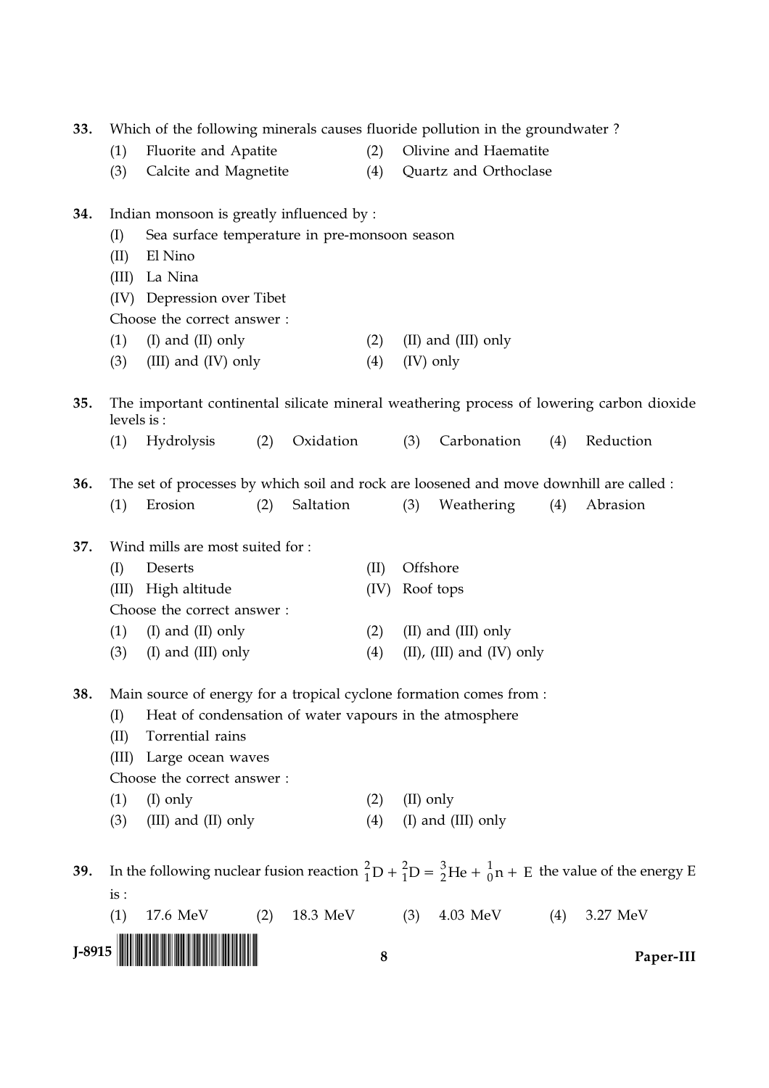| 33.                                              | Which of the following minerals causes fluoride pollution in the groundwater? |                                                                                         |     |           |      |                       |                           |     |                                                                                                                                 |  |
|--------------------------------------------------|-------------------------------------------------------------------------------|-----------------------------------------------------------------------------------------|-----|-----------|------|-----------------------|---------------------------|-----|---------------------------------------------------------------------------------------------------------------------------------|--|
|                                                  | (1)                                                                           | Fluorite and Apatite                                                                    |     |           | (2)  | Olivine and Haematite |                           |     |                                                                                                                                 |  |
|                                                  | (3)                                                                           | Calcite and Magnetite                                                                   |     |           | (4)  |                       | Quartz and Orthoclase     |     |                                                                                                                                 |  |
| Indian monsoon is greatly influenced by :<br>34. |                                                                               |                                                                                         |     |           |      |                       |                           |     |                                                                                                                                 |  |
|                                                  | (I)                                                                           | Sea surface temperature in pre-monsoon season                                           |     |           |      |                       |                           |     |                                                                                                                                 |  |
|                                                  | (II)                                                                          | El Nino                                                                                 |     |           |      |                       |                           |     |                                                                                                                                 |  |
|                                                  | (III)                                                                         | La Nina                                                                                 |     |           |      |                       |                           |     |                                                                                                                                 |  |
|                                                  |                                                                               | (IV) Depression over Tibet                                                              |     |           |      |                       |                           |     |                                                                                                                                 |  |
|                                                  |                                                                               | Choose the correct answer:                                                              |     |           |      |                       |                           |     |                                                                                                                                 |  |
|                                                  | (1)                                                                           | $(I)$ and $(II)$ only                                                                   |     |           | (2)  |                       | (II) and (III) only       |     |                                                                                                                                 |  |
|                                                  | (3)                                                                           | (III) and (IV) only                                                                     |     |           | (4)  |                       | (IV) only                 |     |                                                                                                                                 |  |
| 35.                                              |                                                                               | levels is:                                                                              |     |           |      |                       |                           |     | The important continental silicate mineral weathering process of lowering carbon dioxide                                        |  |
|                                                  | (1)                                                                           | Hydrolysis                                                                              | (2) | Oxidation |      | (3)                   | Carbonation               | (4) | Reduction                                                                                                                       |  |
| 36.                                              |                                                                               | The set of processes by which soil and rock are loosened and move downhill are called : |     |           |      |                       |                           |     |                                                                                                                                 |  |
|                                                  | (1)                                                                           | Erosion                                                                                 | (2) | Saltation |      | (3)                   | Weathering                | (4) | Abrasion                                                                                                                        |  |
|                                                  |                                                                               |                                                                                         |     |           |      |                       |                           |     |                                                                                                                                 |  |
| 37.                                              |                                                                               | Wind mills are most suited for :                                                        |     |           |      |                       |                           |     |                                                                                                                                 |  |
|                                                  | (I)                                                                           | Deserts                                                                                 |     |           | (II) |                       | Offshore                  |     |                                                                                                                                 |  |
|                                                  | (III)                                                                         | High altitude                                                                           |     |           | (IV) |                       | Roof tops                 |     |                                                                                                                                 |  |
|                                                  |                                                                               | Choose the correct answer:                                                              |     |           |      |                       |                           |     |                                                                                                                                 |  |
|                                                  | (1)                                                                           | $(I)$ and $(II)$ only                                                                   |     |           | (2)  |                       | (II) and (III) only       |     |                                                                                                                                 |  |
|                                                  | (3)                                                                           | (I) and (III) only                                                                      |     |           | (4)  |                       | (II), (III) and (IV) only |     |                                                                                                                                 |  |
| 38.                                              |                                                                               | Main source of energy for a tropical cyclone formation comes from :                     |     |           |      |                       |                           |     |                                                                                                                                 |  |
|                                                  | (I)                                                                           | Heat of condensation of water vapours in the atmosphere                                 |     |           |      |                       |                           |     |                                                                                                                                 |  |
|                                                  | (II)                                                                          | Torrential rains                                                                        |     |           |      |                       |                           |     |                                                                                                                                 |  |
|                                                  | (III)                                                                         | Large ocean waves                                                                       |     |           |      |                       |                           |     |                                                                                                                                 |  |
|                                                  |                                                                               | Choose the correct answer:                                                              |     |           |      |                       |                           |     |                                                                                                                                 |  |
|                                                  | (1)                                                                           | $(I)$ only                                                                              |     |           | (2)  | (II) only             |                           |     |                                                                                                                                 |  |
|                                                  | (3)                                                                           | (III) and (II) only                                                                     |     |           | (4)  |                       | (I) and (III) only        |     |                                                                                                                                 |  |
| 39.                                              |                                                                               |                                                                                         |     |           |      |                       |                           |     | In the following nuclear fusion reaction ${}^{2}_{1}D + {}^{2}_{1}D = {}^{3}_{2}He + {}^{1}_{0}n + E$ the value of the energy E |  |
|                                                  | is:                                                                           |                                                                                         |     |           |      |                       |                           |     |                                                                                                                                 |  |
|                                                  | (1)                                                                           | 17.6 MeV                                                                                | (2) | 18.3 MeV  |      | (3)                   | 4.03 MeV                  | (4) | 3.27 MeV                                                                                                                        |  |
| $J-8915$                                         |                                                                               |                                                                                         |     |           |      |                       |                           |     |                                                                                                                                 |  |
|                                                  |                                                                               |                                                                                         |     |           | 8    |                       |                           |     | Paper-III                                                                                                                       |  |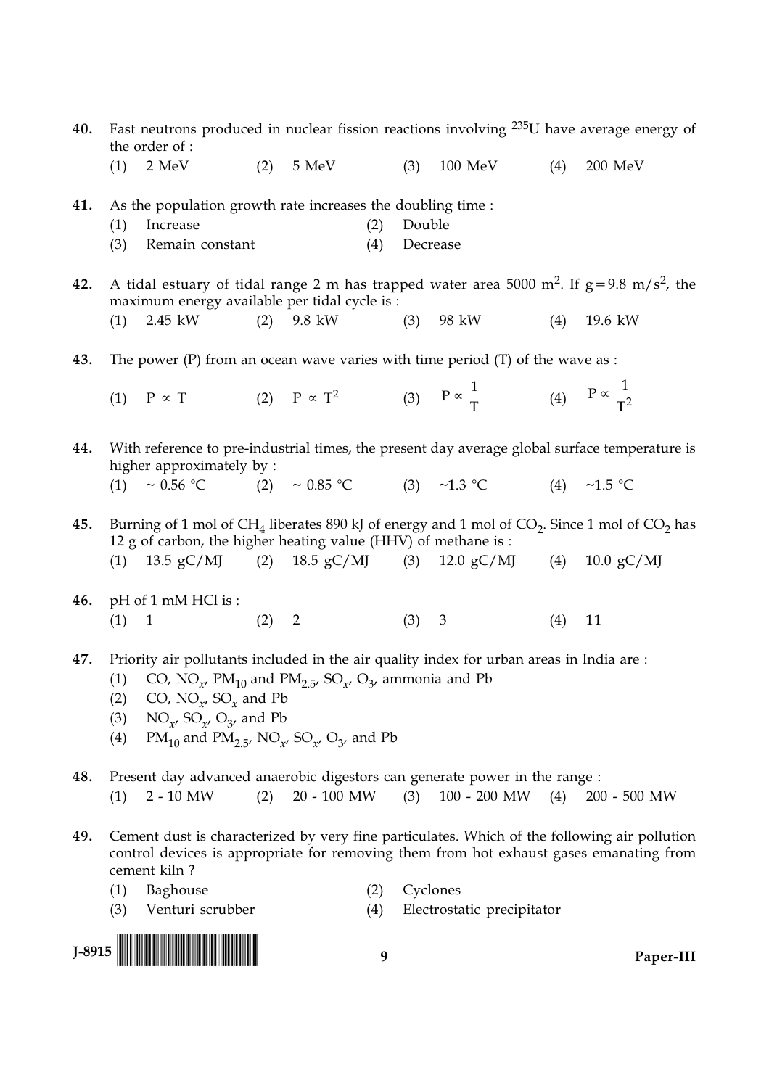- Fast neutrons produced in nuclear fission reactions involving  $235U$  have average energy of 40. the order of :
	- $2$  MeV  $(2)$ 5 MeV 100 MeV  $(1)$  $(3)$  $(4)$  $200$  MeV
- As the population growth rate increases the doubling time : 41.
	- Increase  $(2)$ Double  $(1)$
	- $(3)$ Remain constant  $(4)$ Decrease
- A tidal estuary of tidal range 2 m has trapped water area 5000 m<sup>2</sup>. If  $g = 9.8$  m/s<sup>2</sup>, the 42. maximum energy available per tidal cycle is :
	- $(1)$ 2.45 kW  $(2)$ 9.8 kW  $(3)$ 98 kW 19.6 kW  $(4)$
- The power  $(P)$  from an ocean wave varies with time period  $(T)$  of the wave as : 43.
	- (2)  $P \propto T^2$  (3)  $P \propto \frac{1}{T}$  (4)  $P \propto \frac{1}{T^2}$  $(1)$   $P \propto T$
- With reference to pre-industrial times, the present day average global surface temperature is 44. higher approximately by:
	- (3)  $\sim 1.3 \text{ °C}$  (4)  $\sim 1.5 \text{ °C}$ (2)  $\sim 0.85 \text{ °C}$ (1) ~  $0.56 °C$
- Burning of 1 mol of  $CH<sub>4</sub>$  liberates 890 kJ of energy and 1 mol of  $CO<sub>2</sub>$ . Since 1 mol of  $CO<sub>2</sub>$  has 45. 12 g of carbon, the higher heating value (HHV) of methane is : (1)  $13.5 \text{ gC/M}$ (2)  $18.5 \text{ gC/MI}$  $12.0 \text{ gC/M}$ (4)  $10.0 \text{ gC/M}$  $(3)$
- 46. pH of 1 mM HCl is:  $(1)$  $\overline{1}$  $(2)$ 2  $(3)$ 3  $(4)$ 11
- 47. Priority air pollutants included in the air quality index for urban areas in India are:
	- CO, NO<sub> $x'$ </sub> PM<sub>10</sub> and PM<sub>2.5</sub>, SO<sub> $x'$ </sub> O<sub>3</sub>, ammonia and Pb  $(1)$
	- CO,  $NO_{\gamma}$ ,  $SO_{\gamma}$  and Pb  $(2)$
	- $NO_{\gamma}$ ,  $SO_{\gamma}$ ,  $O_{\gamma}$ , and Pb  $(3)$
	- $PM_{10}$  and  $PM_{2.5}$ , NO<sub>r</sub>, SO<sub>r</sub>, O<sub>3</sub>, and Pb  $(4)$
- 48. Present day advanced anaerobic digestors can generate power in the range :  $2 - 10$  MW 20 - 100 MW  $(3)$  100 - 200 MW  $(4)$  200 - 500 MW  $(1)$  $(2)$
- Cement dust is characterized by very fine particulates. Which of the following air pollution 49. control devices is appropriate for removing them from hot exhaust gases emanating from cement kiln?
	- $(1)$ Baghouse
- (2) Cyclones
- Venturi scrubber  $(4)$ Electrostatic precipitator  $(3)$

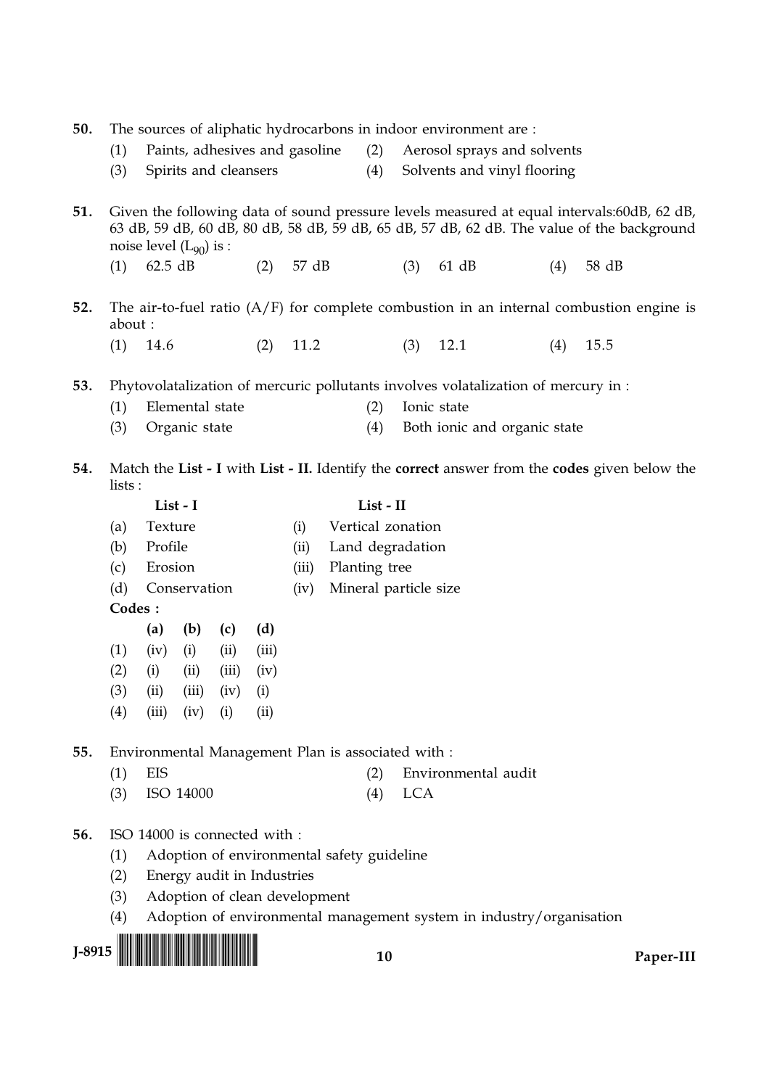|     | 50.<br>The sources of aliphatic hydrocarbons in indoor environment are :                                 |                             |                      |                                                                             |       |       |                                                    |               |                       |                                                                                    |     |                                                                                            |  |
|-----|----------------------------------------------------------------------------------------------------------|-----------------------------|----------------------|-----------------------------------------------------------------------------|-------|-------|----------------------------------------------------|---------------|-----------------------|------------------------------------------------------------------------------------|-----|--------------------------------------------------------------------------------------------|--|
|     | Paints, adhesives and gasoline<br>(1)                                                                    |                             |                      |                                                                             |       |       |                                                    | (2)           |                       | Aerosol sprays and solvents                                                        |     |                                                                                            |  |
|     | (3)                                                                                                      |                             |                      | Spirits and cleansers                                                       |       |       |                                                    | (4)           |                       | Solvents and vinyl flooring                                                        |     |                                                                                            |  |
|     |                                                                                                          |                             |                      |                                                                             |       |       |                                                    |               |                       |                                                                                    |     |                                                                                            |  |
| 51. |                                                                                                          |                             |                      |                                                                             |       |       |                                                    |               |                       |                                                                                    |     | Given the following data of sound pressure levels measured at equal intervals:60dB, 62 dB, |  |
|     |                                                                                                          | noise level $(L_{90})$ is : |                      |                                                                             |       |       |                                                    |               |                       |                                                                                    |     | 63 dB, 59 dB, 60 dB, 80 dB, 58 dB, 59 dB, 65 dB, 57 dB, 62 dB. The value of the background |  |
|     | (1)                                                                                                      | 62.5 dB                     |                      |                                                                             | (2)   | 57 dB |                                                    |               | (3)                   | 61 dB                                                                              | (4) | 58 dB                                                                                      |  |
|     |                                                                                                          |                             |                      |                                                                             |       |       |                                                    |               |                       |                                                                                    |     |                                                                                            |  |
| 52. | about:                                                                                                   |                             |                      |                                                                             |       |       |                                                    |               |                       |                                                                                    |     | The air-to-fuel ratio $(A/F)$ for complete combustion in an internal combustion engine is  |  |
|     | (1)                                                                                                      | 14.6                        |                      |                                                                             | (2)   | 11.2  |                                                    |               | (3)                   | 12.1                                                                               | (4) | 15.5                                                                                       |  |
|     |                                                                                                          |                             |                      |                                                                             |       |       |                                                    |               |                       |                                                                                    |     |                                                                                            |  |
| 53. |                                                                                                          |                             |                      |                                                                             |       |       |                                                    |               |                       | Phytovolatalization of mercuric pollutants involves volatalization of mercury in : |     |                                                                                            |  |
|     | (1)                                                                                                      |                             | Elemental state      |                                                                             |       |       |                                                    | (2)           |                       | Ionic state                                                                        |     |                                                                                            |  |
|     | (3)                                                                                                      |                             | Organic state        |                                                                             |       |       |                                                    | (4)           |                       | Both ionic and organic state                                                       |     |                                                                                            |  |
| 54. |                                                                                                          |                             |                      |                                                                             |       |       |                                                    |               |                       |                                                                                    |     |                                                                                            |  |
|     | Match the List - I with List - II. Identify the correct answer from the codes given below the<br>lists : |                             |                      |                                                                             |       |       |                                                    |               |                       |                                                                                    |     |                                                                                            |  |
|     |                                                                                                          |                             | List - I             |                                                                             |       |       |                                                    | List - II     |                       |                                                                                    |     |                                                                                            |  |
|     | (a)                                                                                                      | Texture                     |                      |                                                                             |       | (i)   |                                                    |               | Vertical zonation     |                                                                                    |     |                                                                                            |  |
|     | (b)                                                                                                      | Profile                     |                      |                                                                             |       | (ii)  |                                                    |               | Land degradation      |                                                                                    |     |                                                                                            |  |
|     | (c)                                                                                                      | Erosion                     |                      |                                                                             |       | (iii) |                                                    | Planting tree |                       |                                                                                    |     |                                                                                            |  |
|     | (d)                                                                                                      |                             | Conservation         |                                                                             |       | (iv)  |                                                    |               | Mineral particle size |                                                                                    |     |                                                                                            |  |
|     | Codes :                                                                                                  |                             |                      |                                                                             |       |       |                                                    |               |                       |                                                                                    |     |                                                                                            |  |
|     |                                                                                                          | (a)                         | (b)                  | (c)                                                                         | (d)   |       |                                                    |               |                       |                                                                                    |     |                                                                                            |  |
|     | (1)                                                                                                      | (iv)                        | (i)                  | (ii)                                                                        | (iii) |       |                                                    |               |                       |                                                                                    |     |                                                                                            |  |
|     | (2)                                                                                                      | (i)                         | (ii)                 | (iii)                                                                       | (iv)  |       |                                                    |               |                       |                                                                                    |     |                                                                                            |  |
|     | (3)                                                                                                      | (ii)                        | (iii)                | (iv)                                                                        | (i)   |       |                                                    |               |                       |                                                                                    |     |                                                                                            |  |
|     | (4)                                                                                                      |                             | $(iii)$ $(iv)$ $(i)$ |                                                                             | (ii)  |       |                                                    |               |                       |                                                                                    |     |                                                                                            |  |
| 55. |                                                                                                          |                             |                      |                                                                             |       |       | Environmental Management Plan is associated with : |               |                       |                                                                                    |     |                                                                                            |  |
|     | (1)                                                                                                      | EIS                         |                      |                                                                             |       |       |                                                    | (2)           |                       | Environmental audit                                                                |     |                                                                                            |  |
|     | (3)                                                                                                      |                             | ISO 14000            |                                                                             |       |       |                                                    | (4)           | <b>LCA</b>            |                                                                                    |     |                                                                                            |  |
|     |                                                                                                          |                             |                      |                                                                             |       |       |                                                    |               |                       |                                                                                    |     |                                                                                            |  |
|     |                                                                                                          |                             |                      |                                                                             |       |       |                                                    |               |                       |                                                                                    |     |                                                                                            |  |
| 56. |                                                                                                          |                             |                      | ISO 14000 is connected with :<br>Adoption of environmental safety guideline |       |       |                                                    |               |                       |                                                                                    |     |                                                                                            |  |
|     | (1)                                                                                                      |                             |                      |                                                                             |       |       |                                                    |               |                       |                                                                                    |     |                                                                                            |  |
|     | (2)                                                                                                      |                             |                      | Energy audit in Industries                                                  |       |       |                                                    |               |                       |                                                                                    |     |                                                                                            |  |
|     | (3)                                                                                                      |                             |                      | Adoption of clean development                                               |       |       |                                                    |               |                       |                                                                                    |     |                                                                                            |  |

 $(4)$  Adoption of envir<br>J-8915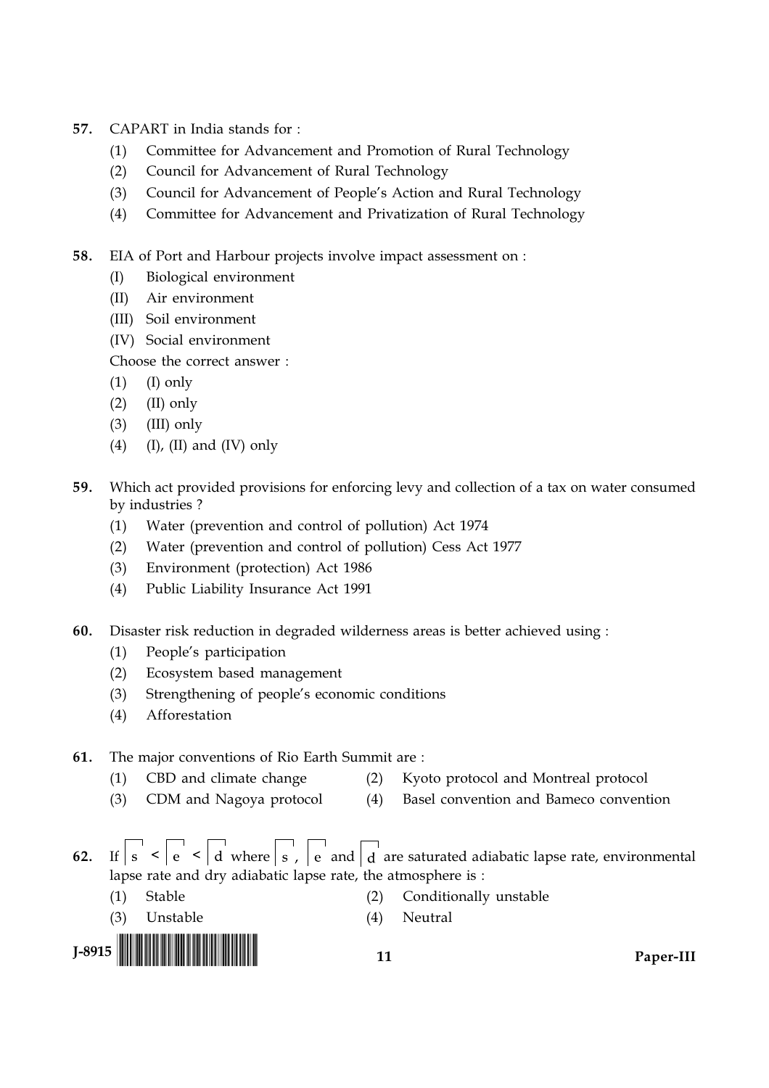- CAPART in India stands for: 57.
	- $(1)$ Committee for Advancement and Promotion of Rural Technology
	- Council for Advancement of Rural Technology  $(2)$
	- $(3)$ Council for Advancement of People's Action and Rural Technology
	- $(4)$ Committee for Advancement and Privatization of Rural Technology

58. EIA of Port and Harbour projects involve impact assessment on :

- $(I)$ Biological environment
- $(II)$ Air environment
- (III) Soil environment
- (IV) Social environment

Choose the correct answer:

- $(1)$  $(I)$  only
- $(2)$  $(II)$  only
- $(3)$  $(III)$  only
- $(4)$  $(I)$ ,  $(II)$  and  $(IV)$  only
- 59. Which act provided provisions for enforcing levy and collection of a tax on water consumed by industries?
	- Water (prevention and control of pollution) Act 1974  $(1)$
	- Water (prevention and control of pollution) Cess Act 1977  $(2)$
	- Environment (protection) Act 1986  $(3)$
	- Public Liability Insurance Act 1991  $(4)$
- Disaster risk reduction in degraded wilderness areas is better achieved using : 60.
	- People's participation  $(1)$
	- $(2)$ Ecosystem based management
	- Strengthening of people's economic conditions  $(3)$
	- $(4)$ Afforestation

#### The major conventions of Rio Earth Summit are: 61.

- CBD and climate change Kyoto protocol and Montreal protocol  $(2)$
- (3) CDM and Nagoya protocol  $(4)$ Basel convention and Bameco convention
- If  $s < e < \overline{d}$  where  $s$ ,  $e$  and  $\overline{d}$  are saturated adiabatic lapse rate, environmental  $62.$ lapse rate and dry adiabatic lapse rate, the atmosphere is :
	- $(1)$ Stable  $(2)$ Conditionally unstable
		- (3) Unstable

 $(1)$ 

(4) Neutral



 $11$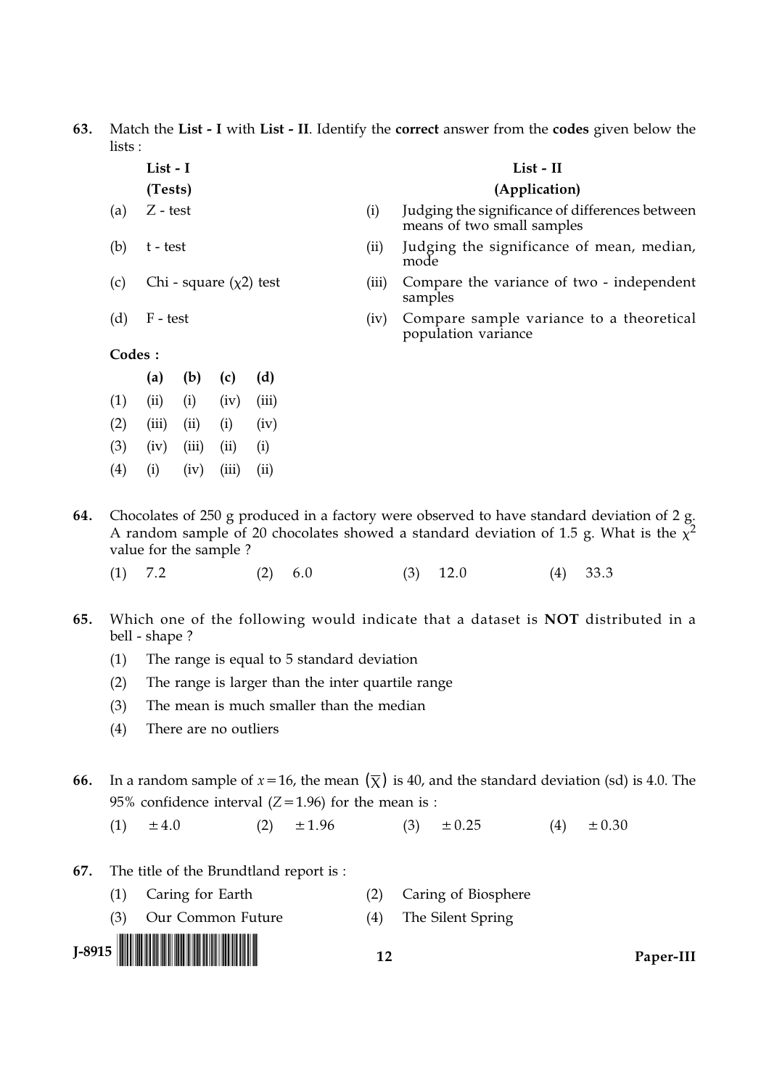63. Match the List - I with List - II. Identify the correct answer from the codes given below the lists:

List - I

t - test

F - test

- (Tests)
- $Z test$  $(a)$

Chi - square  $(\chi^2)$  test

List - II

### (Application)

- $(i)$ Judging the significance of differences between means of two small samples
- $(ii)$ Judging the significance of mean, median, mode
- Compare the variance of two independent  $(iii)$ samples
- $(iv)$ Compare sample variance to a theoretical population variance

Codes:

 $(b)$ 

 $(c)$ 

 $(d)$ 

|     | (a)   | (b)   | (c)   | (d)   |
|-----|-------|-------|-------|-------|
| (1) | (ii)  | (i)   | (iv)  | (iii) |
| (2) | (iii) | (i)   | (i)   | (iv)  |
| (3) | (iv)  | (iii) | (ii)  | (i)   |
| (4) | (i)   | (iv)  | (iii) | (ii)  |

- Chocolates of 250 g produced in a factory were observed to have standard deviation of 2 g. 64. A random sample of 20 chocolates showed a standard deviation of 1.5 g. What is the  $\chi^2$ value for the sample?
	- $(1)$  7.2  $(2)$ 6.0  $(3)$ 12.0  $(4)$ 33.3
- 65. Which one of the following would indicate that a dataset is **NOT** distributed in a bell - shape?
	- The range is equal to 5 standard deviation  $(1)$
	- $(2)$ The range is larger than the inter quartile range
	- $(3)$ The mean is much smaller than the median
	- $(4)$ There are no outliers
- In a random sample of  $x=16$ , the mean  $(\bar{x})$  is 40, and the standard deviation (sd) is 4.0. The 66. 95% confidence interval  $(Z=1.96)$  for the mean is :
	- $±1.96$  $(1)$  $±4.0$  $(2)$  $(3)$  $\pm 0.25$  $(4)$  $\pm 0.30$
- The title of the Brundtland report is: 67.
	- $(1)$ Caring for Earth  $(2)$ Caring of Biosphere
	- $(3)$ Our Common Future  $(4)$ The Silent Spring



 $12$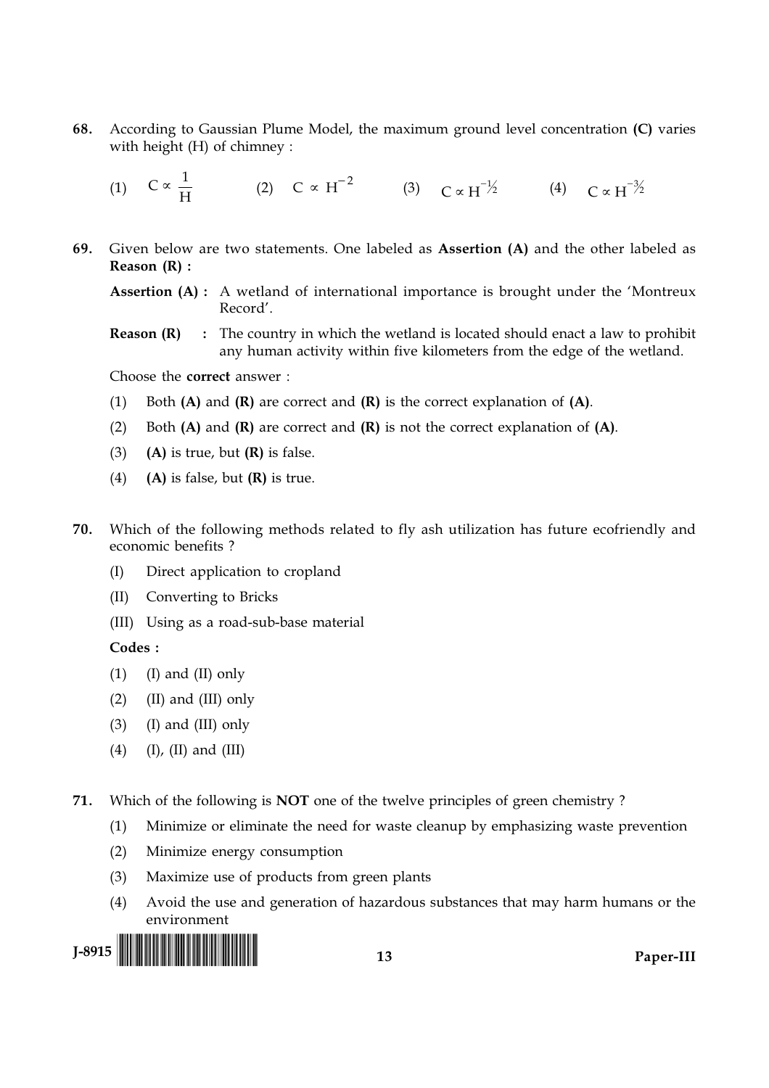- According to Gaussian Plume Model, the maximum ground level concentration (C) varies 68. with height (H) of chimney:
	- (1)  $C \propto \frac{1}{H}$  (2)  $C \propto H^{-2}$  (3)  $C \propto H^{-1/2}$  (4)  $C \propto H^{-3/2}$
- 69. Given below are two statements. One labeled as Assertion (A) and the other labeled as Reason  $(R)$ :

**Assertion (A):** A wetland of international importance is brought under the 'Montreux  $Reord'$ 

Reason (R) : The country in which the wetland is located should enact a law to prohibit any human activity within five kilometers from the edge of the wetland.

Choose the correct answer:

- $(1)$ Both  $(A)$  and  $(R)$  are correct and  $(R)$  is the correct explanation of  $(A)$ .
- $(2)$ Both  $(A)$  and  $(R)$  are correct and  $(R)$  is not the correct explanation of  $(A)$ .
- $(A)$  is true, but  $(R)$  is false.  $(3)$
- $(4)$  $(A)$  is false, but  $(R)$  is true.
- 70. Which of the following methods related to fly ash utilization has future ecofriendly and economic benefits?
	- $(I)$ Direct application to cropland
	- Converting to Bricks  $(II)$
	- (III) Using as a road-sub-base material

#### Codes:

- $(1)$  $(I)$  and  $(II)$  only
- $(2)$ (II) and (III) only
- $(3)$  $(I)$  and  $(III)$  only
- $(I)$ ,  $(II)$  and  $(III)$  $(4)$

Which of the following is **NOT** one of the twelve principles of green chemistry? 71.

- Minimize or eliminate the need for waste cleanup by emphasizing waste prevention  $(1)$
- $(2)$ Minimize energy consumption
- $(3)$ Maximize use of products from green plants
- Avoid the use and generation of hazardous substances that may harm humans or the  $(4)$ environment

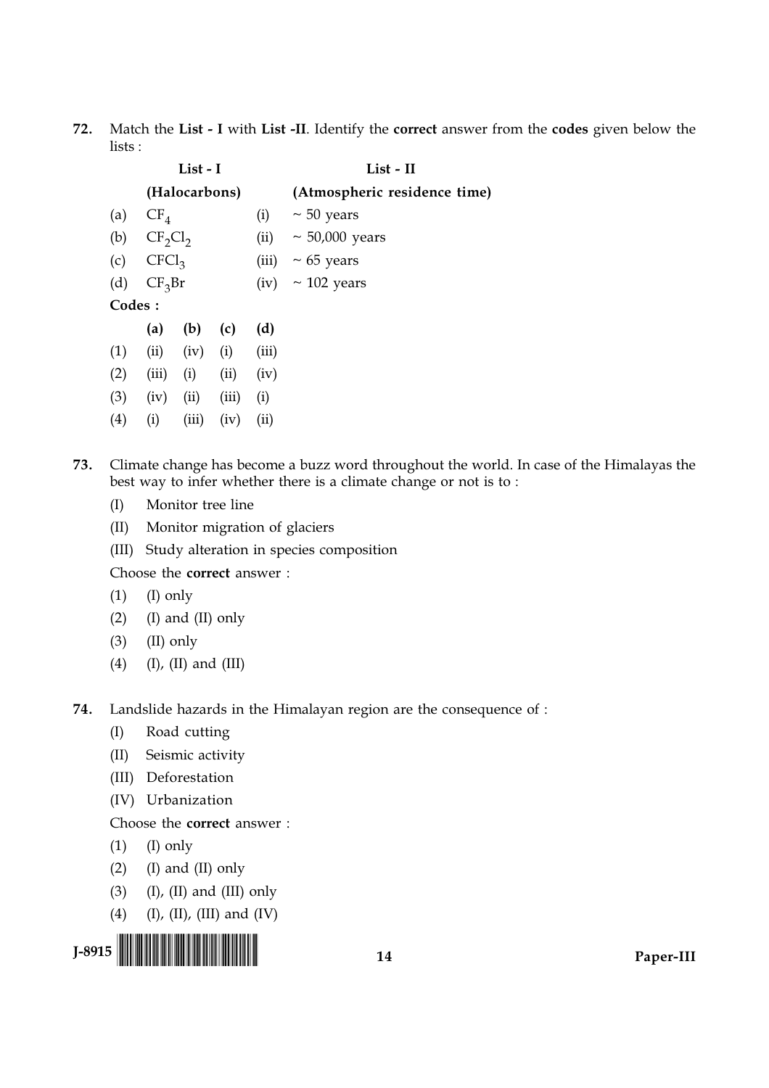Match the List - I with List -II. Identify the correct answer from the codes given below the 72. lists:

|        |                   | List - I      |       |                  | List - II                    |  |  |  |
|--------|-------------------|---------------|-------|------------------|------------------------------|--|--|--|
|        |                   | (Halocarbons) |       |                  | (Atmospheric residence time) |  |  |  |
| (a)    | $CF_4$            |               |       | (i)              | $\sim$ 50 years              |  |  |  |
| (b)    | $CF_2Cl_2$        |               |       | (ii)             | $\sim$ 50,000 years          |  |  |  |
| (c)    | CFCl <sub>3</sub> |               |       | (iii)            | $\sim 65$ years              |  |  |  |
| (d)    | $CF_3Br$          |               | (iv)  | $\sim$ 102 years |                              |  |  |  |
| Codes: |                   |               |       |                  |                              |  |  |  |
|        | (a)               | (b)           | (c)   | (d)              |                              |  |  |  |
| (1)    | (ii)              | (iv)          | (i)   | (iii)            |                              |  |  |  |
| (2)    | (iii)             | (i)           | (ii)  | (iv)             |                              |  |  |  |
| (3)    | (iv)              | (ii)          | (iii) | (i)              |                              |  |  |  |
| (4)    | (i)               | (iii)         | (iv)  | (ii)             |                              |  |  |  |

73. Climate change has become a buzz word throughout the world. In case of the Himalayas the best way to infer whether there is a climate change or not is to:

- Monitor tree line  $(I)$
- $(II)$ Monitor migration of glaciers
- (III) Study alteration in species composition

Choose the correct answer:

- $(1)$  $(I)$  only
- $(2)$ (I) and (II) only
- $(3)$ (II) only
- $(4)$  $(I)$ ,  $(II)$  and  $(III)$
- 74. Landslide hazards in the Himalayan region are the consequence of :
	- Road cutting  $(I)$
	- $(II)$ Seismic activity
	- (III) Deforestation
	- (IV) Urbanization

## Choose the correct answer:

- (I) only  $(1)$
- $(2)$ (I) and (II) only
- $(3)$  $(I)$ ,  $(II)$  and  $(III)$  only
- $(4)$  $(I), (II), (III)$  and  $(IV)$

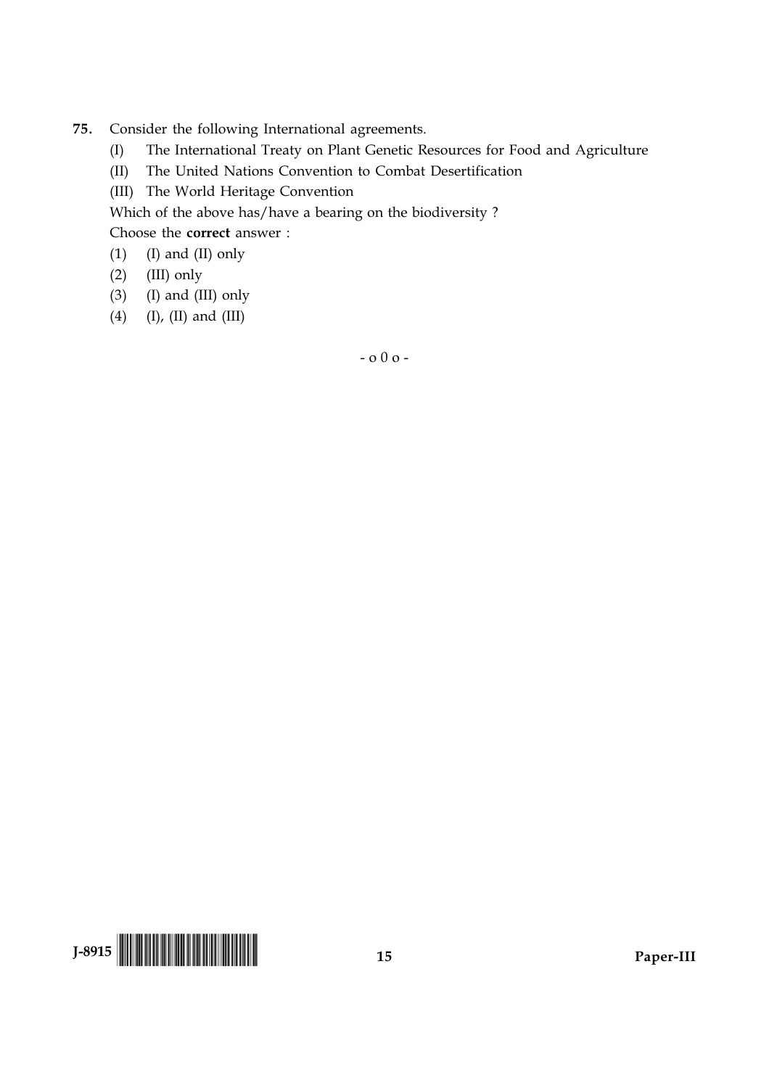- 75. Consider the following International agreements.
	- The International Treaty on Plant Genetic Resources for Food and Agriculture  $(I)$
	- $(\text{II})$ The United Nations Convention to Combat Desertification
	- (III) The World Heritage Convention

Which of the above has/have a bearing on the biodiversity?

Choose the **correct** answer :

(I) and (II) only  $(1)$ 

- $(2)$ (III) only
- $(3)$  (I) and (III) only
- (4)  $(I), (II)$  and  $(III)$

 $-000-$